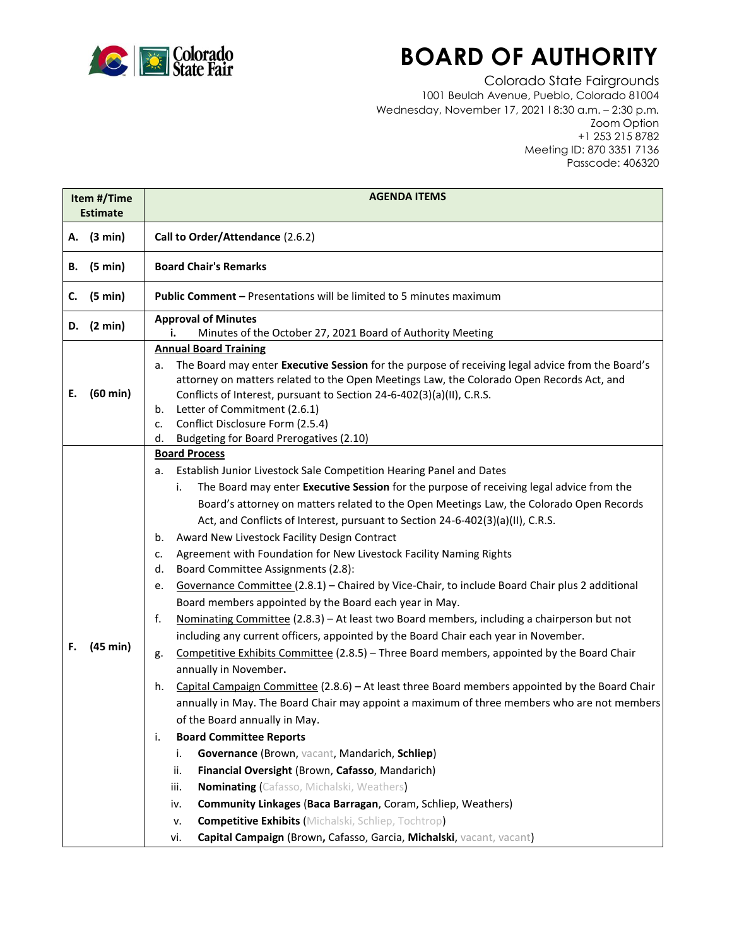

## **BOARD OF AUTHORITY**

Colorado State Fairgrounds 1001 Beulah Avenue, Pueblo, Colorado 81004 Wednesday, November 17, 2021 l 8:30 a.m. – 2:30 p.m. Zoom Option +1 253 215 8782 Meeting ID: 870 3351 7136 Passcode: 406320

| Item #/Time<br><b>Estimate</b> |                    | <b>AGENDA ITEMS</b>                                                                                                                                                                                                                                                                                                                                                                                                                                                                                                                                                                                                                                                                                                                                                                                                                                                                                                                                                                                                                                                                                                                                                                                                                                                                                                                                                                                                                                                                                                                                                                                                                                                                                                                             |  |  |
|--------------------------------|--------------------|-------------------------------------------------------------------------------------------------------------------------------------------------------------------------------------------------------------------------------------------------------------------------------------------------------------------------------------------------------------------------------------------------------------------------------------------------------------------------------------------------------------------------------------------------------------------------------------------------------------------------------------------------------------------------------------------------------------------------------------------------------------------------------------------------------------------------------------------------------------------------------------------------------------------------------------------------------------------------------------------------------------------------------------------------------------------------------------------------------------------------------------------------------------------------------------------------------------------------------------------------------------------------------------------------------------------------------------------------------------------------------------------------------------------------------------------------------------------------------------------------------------------------------------------------------------------------------------------------------------------------------------------------------------------------------------------------------------------------------------------------|--|--|
|                                | A. (3 min)         | Call to Order/Attendance (2.6.2)                                                                                                                                                                                                                                                                                                                                                                                                                                                                                                                                                                                                                                                                                                                                                                                                                                                                                                                                                                                                                                                                                                                                                                                                                                                                                                                                                                                                                                                                                                                                                                                                                                                                                                                |  |  |
| В.                             | (5 min)            | <b>Board Chair's Remarks</b>                                                                                                                                                                                                                                                                                                                                                                                                                                                                                                                                                                                                                                                                                                                                                                                                                                                                                                                                                                                                                                                                                                                                                                                                                                                                                                                                                                                                                                                                                                                                                                                                                                                                                                                    |  |  |
| c.                             | (5 min)            | <b>Public Comment - Presentations will be limited to 5 minutes maximum</b>                                                                                                                                                                                                                                                                                                                                                                                                                                                                                                                                                                                                                                                                                                                                                                                                                                                                                                                                                                                                                                                                                                                                                                                                                                                                                                                                                                                                                                                                                                                                                                                                                                                                      |  |  |
| D.                             | (2 min)            | <b>Approval of Minutes</b><br>Minutes of the October 27, 2021 Board of Authority Meeting<br>i.                                                                                                                                                                                                                                                                                                                                                                                                                                                                                                                                                                                                                                                                                                                                                                                                                                                                                                                                                                                                                                                                                                                                                                                                                                                                                                                                                                                                                                                                                                                                                                                                                                                  |  |  |
| Е.                             | $(60 \text{ min})$ | <b>Annual Board Training</b><br>The Board may enter Executive Session for the purpose of receiving legal advice from the Board's<br>а.<br>attorney on matters related to the Open Meetings Law, the Colorado Open Records Act, and<br>Conflicts of Interest, pursuant to Section 24-6-402(3)(a)(II), C.R.S.<br>Letter of Commitment (2.6.1)<br>b.<br>Conflict Disclosure Form (2.5.4)<br>c.<br>Budgeting for Board Prerogatives (2.10)                                                                                                                                                                                                                                                                                                                                                                                                                                                                                                                                                                                                                                                                                                                                                                                                                                                                                                                                                                                                                                                                                                                                                                                                                                                                                                          |  |  |
| F.                             | (45 min)           | d.<br><b>Board Process</b><br>Establish Junior Livestock Sale Competition Hearing Panel and Dates<br>а.<br>The Board may enter Executive Session for the purpose of receiving legal advice from the<br>i.<br>Board's attorney on matters related to the Open Meetings Law, the Colorado Open Records<br>Act, and Conflicts of Interest, pursuant to Section 24-6-402(3)(a)(II), C.R.S.<br>Award New Livestock Facility Design Contract<br>b.<br>Agreement with Foundation for New Livestock Facility Naming Rights<br>c.<br>Board Committee Assignments (2.8):<br>d.<br>Governance Committee (2.8.1) - Chaired by Vice-Chair, to include Board Chair plus 2 additional<br>е.<br>Board members appointed by the Board each year in May.<br>Nominating Committee (2.8.3) - At least two Board members, including a chairperson but not<br>f.<br>including any current officers, appointed by the Board Chair each year in November.<br>Competitive Exhibits Committee (2.8.5) - Three Board members, appointed by the Board Chair<br>g.<br>annually in November.<br>Capital Campaign Committee (2.8.6) - At least three Board members appointed by the Board Chair<br>h.<br>annually in May. The Board Chair may appoint a maximum of three members who are not members<br>of the Board annually in May.<br><b>Board Committee Reports</b><br>i.<br>Governance (Brown, vacant, Mandarich, Schliep)<br>i.<br>Financial Oversight (Brown, Cafasso, Mandarich)<br>ii.<br>Nominating (Cafasso, Michalski, Weathers)<br>iii.<br>Community Linkages (Baca Barragan, Coram, Schliep, Weathers)<br>iv.<br><b>Competitive Exhibits (Michalski, Schliep, Tochtrop)</b><br>v.<br>Capital Campaign (Brown, Cafasso, Garcia, Michalski, vacant, vacant)<br>vi. |  |  |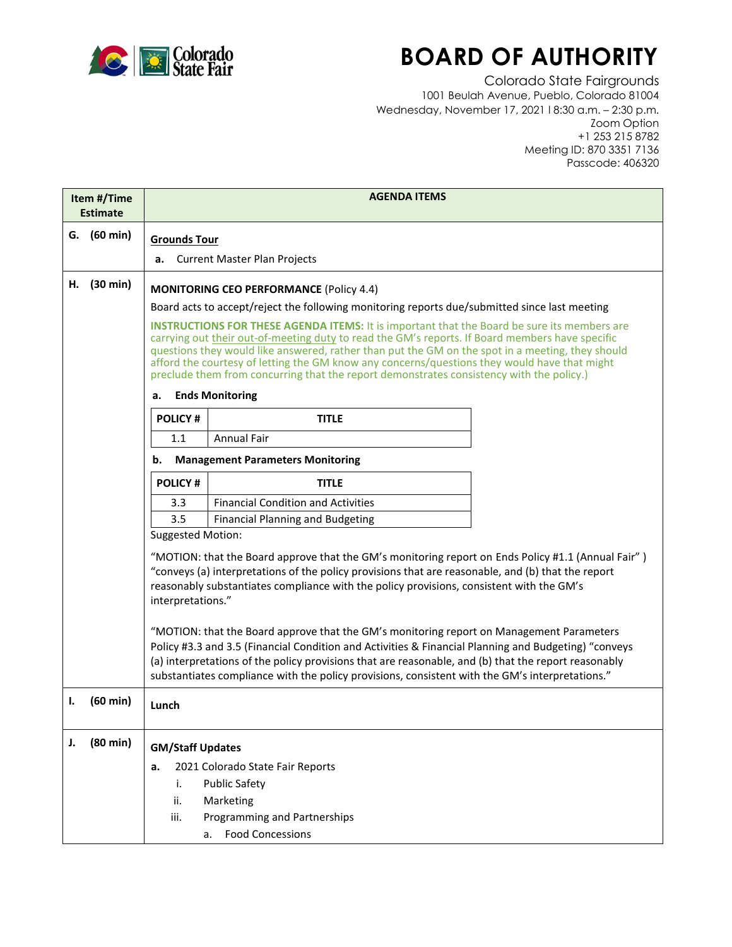

## **BOARD OF AUTHORITY**

Colorado State Fairgrounds 1001 Beulah Avenue, Pueblo, Colorado 81004 Wednesday, November 17, 2021 l 8:30 a.m. – 2:30 p.m. Zoom Option +1 253 215 8782 Meeting ID: 870 3351 7136 Passcode: 406320

| Item #/Time<br><b>Estimate</b> |                    | <b>AGENDA ITEMS</b>                                                                                                                                                                                                                                                                                                                                                                                                                                                                                   |                                           |  |  |  |
|--------------------------------|--------------------|-------------------------------------------------------------------------------------------------------------------------------------------------------------------------------------------------------------------------------------------------------------------------------------------------------------------------------------------------------------------------------------------------------------------------------------------------------------------------------------------------------|-------------------------------------------|--|--|--|
|                                | G. (60 min)        |                                                                                                                                                                                                                                                                                                                                                                                                                                                                                                       |                                           |  |  |  |
|                                |                    |                                                                                                                                                                                                                                                                                                                                                                                                                                                                                                       | <b>Grounds Tour</b>                       |  |  |  |
|                                |                    | <b>Current Master Plan Projects</b><br>а.                                                                                                                                                                                                                                                                                                                                                                                                                                                             |                                           |  |  |  |
| н.                             | (30 min)           | <b>MONITORING CEO PERFORMANCE (Policy 4.4)</b>                                                                                                                                                                                                                                                                                                                                                                                                                                                        |                                           |  |  |  |
|                                |                    | Board acts to accept/reject the following monitoring reports due/submitted since last meeting                                                                                                                                                                                                                                                                                                                                                                                                         |                                           |  |  |  |
|                                |                    | <b>INSTRUCTIONS FOR THESE AGENDA ITEMS:</b> It is important that the Board be sure its members are<br>carrying out their out-of-meeting duty to read the GM's reports. If Board members have specific<br>questions they would like answered, rather than put the GM on the spot in a meeting, they should<br>afford the courtesy of letting the GM know any concerns/questions they would have that might<br>preclude them from concurring that the report demonstrates consistency with the policy.) |                                           |  |  |  |
|                                |                    | <b>Ends Monitoring</b><br>а.                                                                                                                                                                                                                                                                                                                                                                                                                                                                          |                                           |  |  |  |
|                                |                    | <b>POLICY#</b>                                                                                                                                                                                                                                                                                                                                                                                                                                                                                        | <b>TITLE</b>                              |  |  |  |
|                                |                    | 1.1                                                                                                                                                                                                                                                                                                                                                                                                                                                                                                   | <b>Annual Fair</b>                        |  |  |  |
|                                |                    | <b>Management Parameters Monitoring</b><br>b.                                                                                                                                                                                                                                                                                                                                                                                                                                                         |                                           |  |  |  |
|                                |                    | <b>POLICY#</b>                                                                                                                                                                                                                                                                                                                                                                                                                                                                                        | <b>TITLE</b>                              |  |  |  |
|                                |                    | 3.3                                                                                                                                                                                                                                                                                                                                                                                                                                                                                                   | <b>Financial Condition and Activities</b> |  |  |  |
|                                |                    | 3.5                                                                                                                                                                                                                                                                                                                                                                                                                                                                                                   | <b>Financial Planning and Budgeting</b>   |  |  |  |
|                                |                    | <b>Suggested Motion:</b>                                                                                                                                                                                                                                                                                                                                                                                                                                                                              |                                           |  |  |  |
|                                |                    | "MOTION: that the Board approve that the GM's monitoring report on Ends Policy #1.1 (Annual Fair")<br>"conveys (a) interpretations of the policy provisions that are reasonable, and (b) that the report<br>reasonably substantiates compliance with the policy provisions, consistent with the GM's<br>interpretations."                                                                                                                                                                             |                                           |  |  |  |
|                                |                    | "MOTION: that the Board approve that the GM's monitoring report on Management Parameters<br>Policy #3.3 and 3.5 (Financial Condition and Activities & Financial Planning and Budgeting) "conveys<br>(a) interpretations of the policy provisions that are reasonable, and (b) that the report reasonably<br>substantiates compliance with the policy provisions, consistent with the GM's interpretations."                                                                                           |                                           |  |  |  |
| Ι.                             | (60 min)           | Lunch                                                                                                                                                                                                                                                                                                                                                                                                                                                                                                 |                                           |  |  |  |
| J.                             | $(80 \text{ min})$ | <b>GM/Staff Updates</b>                                                                                                                                                                                                                                                                                                                                                                                                                                                                               |                                           |  |  |  |
|                                |                    | a.                                                                                                                                                                                                                                                                                                                                                                                                                                                                                                    | 2021 Colorado State Fair Reports          |  |  |  |
|                                |                    | i.                                                                                                                                                                                                                                                                                                                                                                                                                                                                                                    | <b>Public Safety</b>                      |  |  |  |
|                                |                    | ii.                                                                                                                                                                                                                                                                                                                                                                                                                                                                                                   | Marketing                                 |  |  |  |
|                                |                    | iii.                                                                                                                                                                                                                                                                                                                                                                                                                                                                                                  | Programming and Partnerships              |  |  |  |
|                                |                    |                                                                                                                                                                                                                                                                                                                                                                                                                                                                                                       | <b>Food Concessions</b><br>а.             |  |  |  |